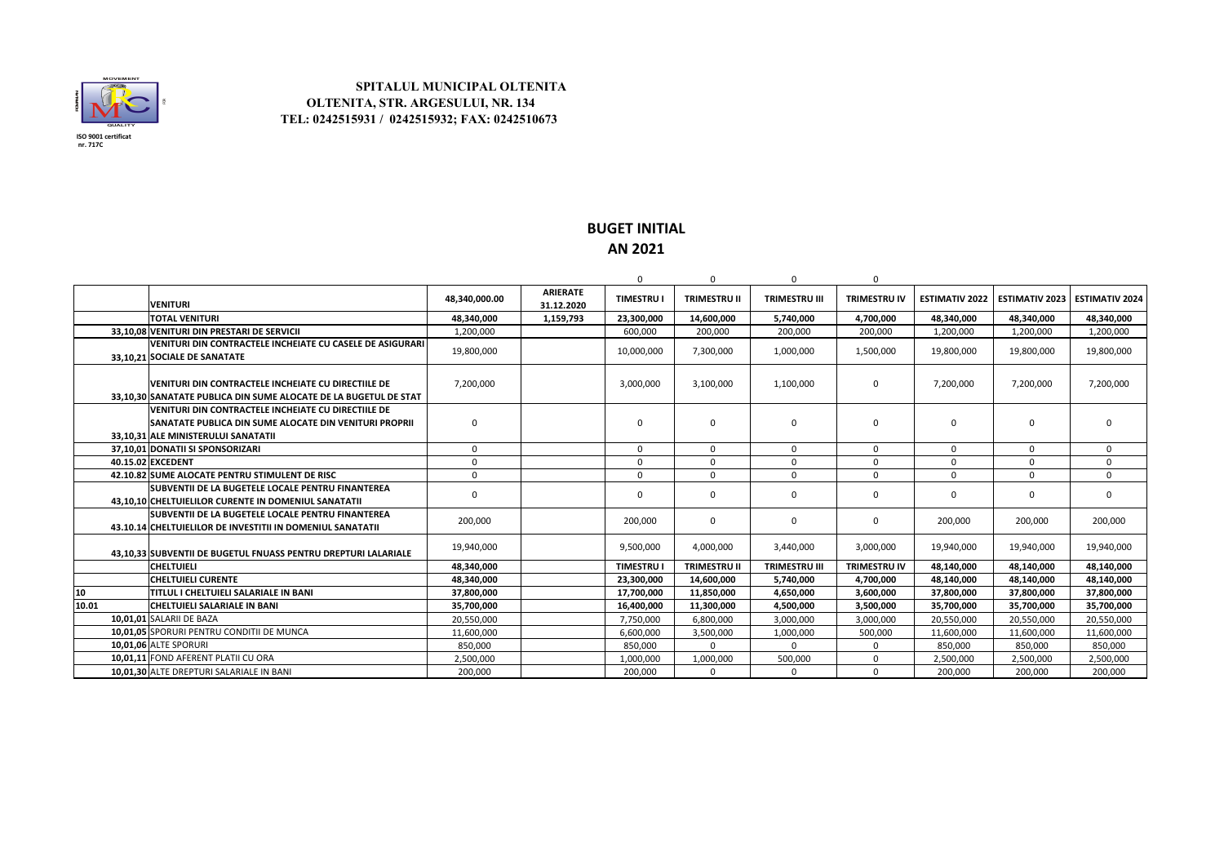

## **SPITALUL MUNICIPAL OLTENITA OLTENITA, STR. ARGESULUI, NR. 134 TEL: 0242515931 / 0242515932; FAX: 0242510673**

## **BUGET INITIAL AN 2021**

|                   |                                                                                                                                                              |               |                               | 0               | $\Omega$            | $\Omega$             | O                   |                       |                       |                       |
|-------------------|--------------------------------------------------------------------------------------------------------------------------------------------------------------|---------------|-------------------------------|-----------------|---------------------|----------------------|---------------------|-----------------------|-----------------------|-----------------------|
|                   | <b>VENITURI</b>                                                                                                                                              | 48.340.000.00 | <b>ARIERATE</b><br>31.12.2020 | <b>TIMESTRU</b> | <b>TRIMESTRU II</b> | <b>TRIMESTRU III</b> | <b>TRIMESTRU IV</b> | <b>ESTIMATIV 2022</b> | <b>ESTIMATIV 2023</b> | <b>ESTIMATIV 2024</b> |
|                   | <b>TOTAL VENITURI</b>                                                                                                                                        | 48,340,000    | 1,159,793                     | 23,300,000      | 14,600,000          | 5,740,000            | 4,700,000           | 48,340,000            | 48,340,000            | 48.340.000            |
|                   | 33.10.08 VENITURI DIN PRESTARI DE SERVICII                                                                                                                   | 1.200.000     |                               | 600,000         | 200,000             | 200,000              | 200.000             | 1,200,000             | 1,200,000             | 1,200,000             |
|                   | lVENITURI DIN CONTRACTELE INCHEIATE CU CASELE DE ASIGURARI<br>33.10.21 SOCIALE DE SANATATE                                                                   | 19,800,000    |                               | 10,000,000      | 7,300,000           | 1,000,000            | 1,500,000           | 19,800,000            | 19,800,000            | 19,800,000            |
|                   | VENITURI DIN CONTRACTELE INCHEIATE CU DIRECTIILE DE<br>33.10.30 SANATATE PUBLICA DIN SUME ALOCATE DE LA BUGETUL DE STAT                                      | 7,200,000     |                               | 3,000,000       | 3,100,000           | 1,100,000            | 0                   | 7,200,000             | 7,200,000             | 7,200,000             |
|                   | VENITURI DIN CONTRACTELE INCHEIATE CU DIRECTIILE DE<br><b>ISANATATE PUBLICA DIN SUME ALOCATE DIN VENITURI PROPRII</b><br>33.10.31 ALE MINISTERULUI SANATATII | $\Omega$      |                               | 0               | $\Omega$            | $\mathbf 0$          | ŋ                   | $\Omega$              | $\Omega$              | $\mathbf 0$           |
|                   | 37.10.01 DONATII SI SPONSORIZARI                                                                                                                             | $\mathbf 0$   |                               | 0               | $\Omega$            | 0                    | 0                   | $\Omega$              | $\Omega$              | $\mathbf 0$           |
| 40.15.02 EXCEDENT |                                                                                                                                                              | $\Omega$      |                               | $\Omega$        | $\Omega$            | $\Omega$             | n.                  | $\Omega$              | $\Omega$              | $\Omega$              |
|                   | 42.10.82 SUME ALOCATE PENTRU STIMULENT DE RISC                                                                                                               | $\mathbf 0$   |                               | $\Omega$        | $\Omega$            | $\mathbf 0$          | O.                  | $\Omega$              | $\Omega$              | $\mathbf 0$           |
|                   | <b>ISUBVENTII DE LA BUGETELE LOCALE PENTRU FINANTEREA</b><br>43.10.10 CHELTUIELILOR CURENTE IN DOMENIUL SANATATII                                            | $\Omega$      |                               | 0               | $\Omega$            | 0                    | 0                   | $\Omega$              | $\Omega$              | $\Omega$              |
|                   | SUBVENTII DE LA BUGETELE LOCALE PENTRU FINANTEREA<br>43.10.14 CHELTUIELILOR DE INVESTITII IN DOMENIUL SANATATII                                              | 200,000       |                               | 200.000         | 0                   | 0                    | 0                   | 200,000               | 200,000               | 200,000               |
|                   | 43.10.33 SUBVENTII DE BUGETUL FNUASS PENTRU DREPTURI LALARIALE                                                                                               | 19,940,000    |                               | 9,500,000       | 4,000,000           | 3,440,000            | 3,000,000           | 19,940,000            | 19,940,000            | 19,940,000            |
|                   | <b>CHELTUIELI</b>                                                                                                                                            | 48.340.000    |                               | <b>TIMESTRU</b> | <b>TRIMESTRU II</b> | <b>TRIMESTRU III</b> | <b>TRIMESTRU IV</b> | 48.140.000            | 48,140,000            | 48.140.000            |
|                   | <b>CHELTUIELI CURENTE</b>                                                                                                                                    | 48,340,000    |                               | 23,300,000      | 14,600,000          | 5,740,000            | 4,700,000           | 48,140,000            | 48,140,000            | 48,140,000            |
| 10                | <b>TITLUL I CHELTUIELI SALARIALE IN BANI</b>                                                                                                                 | 37,800,000    |                               | 17,700,000      | 11,850,000          | 4,650,000            | 3,600,000           | 37,800,000            | 37,800,000            | 37.800.000            |
| 10.01             | CHELTUIELI SALARIALE IN BANI                                                                                                                                 | 35,700,000    |                               | 16.400.000      | 11,300,000          | 4,500,000            | 3.500.000           | 35,700,000            | 35,700,000            | 35,700,000            |
|                   | 10.01.01 SALARII DE BAZA                                                                                                                                     | 20,550,000    |                               | 7,750,000       | 6,800,000           | 3,000,000            | 3,000,000           | 20,550,000            | 20,550,000            | 20,550,000            |
|                   | 10.01.05 SPORURI PENTRU CONDITII DE MUNCA                                                                                                                    | 11,600,000    |                               | 6,600,000       | 3,500,000           | 1,000,000            | 500,000             | 11,600,000            | 11,600,000            | 11,600,000            |
|                   | 10.01.06 ALTE SPORURI                                                                                                                                        | 850.000       |                               | 850.000         | $\Omega$            | $\Omega$             | <sub>0</sub>        | 850,000               | 850,000               | 850.000               |
|                   | 10,01,11 FOND AFERENT PLATII CU ORA                                                                                                                          | 2,500,000     |                               | 1,000,000       | 1,000,000           | 500,000              | 0                   | 2,500,000             | 2,500,000             | 2,500,000             |
|                   | 10.01.30 ALTE DREPTURI SALARIALE IN BANI                                                                                                                     | 200,000       |                               | 200,000         | $\Omega$            | $\mathbf 0$          | $\Omega$            | 200,000               | 200,000               | 200,000               |